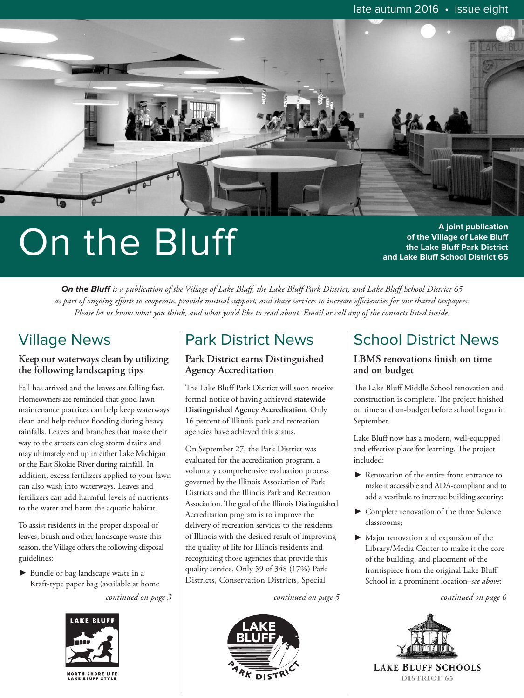

# On the Bluff

**A joint publication of the Village of Lake Bluff the Lake Bluff Park District and Lake Bluff School District 65**

On the Bluff is a publication of the Village of Lake Bluff, the Lake Bluff Park District, and Lake Bluff School District 65 as part of ongoing efforts to cooperate, provide mutual support, and share services to increase efficiencies for our shared taxpayers. Please let us know what you think, and what you'd like to read about. Email or call any of the contacts listed inside.

## Village News

### **Keep our waterways clean by utilizing the following landscaping tips**

Fall has arrived and the leaves are falling fast. Homeowners are reminded that good lawn maintenance practices can help keep waterways clean and help reduce flooding during heavy rainfalls. Leaves and branches that make their way to the streets can clog storm drains and may ultimately end up in either Lake Michigan or the East Skokie River during rainfall. In addition, excess fertilizers applied to your lawn can also wash into waterways. Leaves and fertilizers can add harmful levels of nutrients to the water and harm the aquatic habitat.

To assist residents in the proper disposal of leaves, brush and other landscape waste this season, the Village offers the following disposal guidelines:

 $\blacktriangleright$  Bundle or bag landscape waste in a Kraft-type paper bag (available at home



Park District News

#### **Park District earns Distinguished Agency Accreditation**

The Lake Bluff Park District will soon receive formal notice of having achieved **statewide Distinguished Agency Accreditation**. Only 16 percent of Illinois park and recreation agencies have achieved this status.

On September 27, the Park District was evaluated for the accreditation program, a voluntary comprehensive evaluation process governed by the Illinois Association of Park Districts and the Illinois Park and Recreation Association. The goal of the Illinois Distinguished Accreditation program is to improve the delivery of recreation services to the residents of Illinois with the desired result of improving the quality of life for Illinois residents and recognizing those agencies that provide this quality service. Only 59 of 348 (17%) Park Districts, Conservation Districts, Special



# School District News

### **LBMS renovations finish on time and on budget**

The Lake Bluff Middle School renovation and construction is complete. The project finished on time and on-budget before school began in September.

Lake Bluff now has a modern, well-equipped and effective place for learning. The project included:

- Renovation of the entire front entrance to make it accessible and ADA-compliant and to add a vestibule to increase building security;
- $\triangleright$  Complete renovation of the three Science classrooms;
- $\blacktriangleright$  Major renovation and expansion of the Library/Media Center to make it the core of the building, and placement of the frontispiece from the original Lake Bluff School in a prominent location–*see above*;

*continued on page 3 continued on page 5 continued on page 6*



**LAKE BLUFF SCHOOLS** DISTRICT 65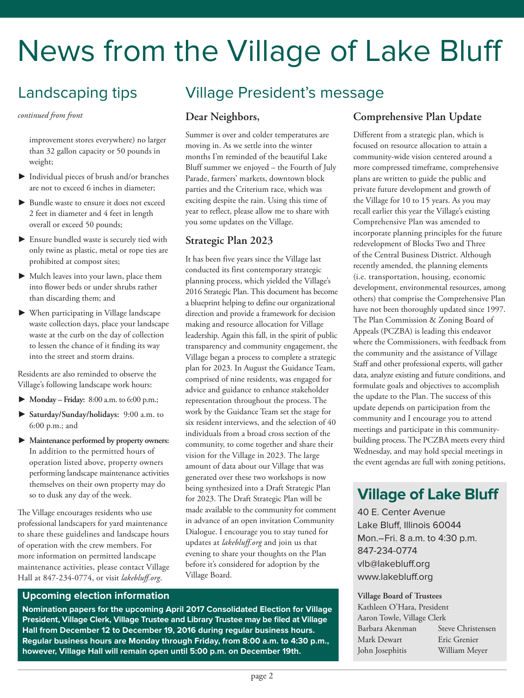# News from the Village of Lake Bluff

# Landscaping tips

*continued from front*

improvement stores everywhere) no larger than 32 gallon capacity or 50 pounds in weight;

- $\blacktriangleright$  Individual pieces of brush and/or branches are not to exceed 6 inches in diameter;
- $\blacktriangleright$  Bundle waste to ensure it does not exceed 2 feet in diameter and 4 feet in length overall or exceed 50 pounds;
- $\blacktriangleright$  Ensure bundled waste is securely tied with only twine as plastic, metal or rope ties are prohibited at compost sites;
- $\blacktriangleright$  Mulch leaves into your lawn, place them into flower beds or under shrubs rather than discarding them; and
- $\blacktriangleright$  When participating in Village landscape waste collection days, place your landscape waste at the curb on the day of collection to lessen the chance of it finding its way into the street and storm drains.

Residents are also reminded to observe the Village's following landscape work hours:

- \$ **Monday – Friday:** 8:00 a.m. to 6:00 p.m.;
- \$ **Saturday/Sunday/holidays:** 9:00 a.m. to 6:00 p.m.; and
- \$ **Maintenance performed by property owners:** In addition to the permitted hours of operation listed above, property owners performing landscape maintenance activities themselves on their own property may do so to dusk any day of the week.

The Village encourages residents who use professional landscapers for yard maintenance to share these guidelines and landscape hours of operation with the crew members. For more information on permitted landscape maintenance activities, please contact Village Hall at 847-234-0774, or visit *lakebluff.org*.

## Village President's message

### **Dear Neighbors,**

Summer is over and colder temperatures are moving in. As we settle into the winter months I'm reminded of the beautiful Lake Bluff summer we enjoyed – the Fourth of July Parade, farmers' markets, downtown block parties and the Criterium race, which was exciting despite the rain. Using this time of year to reflect, please allow me to share with you some updates on the Village.

## **Strategic Plan 2023**

It has been five years since the Village last conducted its first contemporary strategic planning process, which yielded the Village's 2016 Strategic Plan. This document has become a blueprint helping to define our organizational direction and provide a framework for decision making and resource allocation for Village leadership. Again this fall, in the spirit of public transparency and community engagement, the Village began a process to complete a strategic plan for 2023. In August the Guidance Team, comprised of nine residents, was engaged for advice and guidance to enhance stakeholder representation throughout the process. The work by the Guidance Team set the stage for six resident interviews, and the selection of 40 individuals from a broad cross section of the community, to come together and share their vision for the Village in 2023. The large amount of data about our Village that was generated over these two workshops is now being synthesized into a Draft Strategic Plan for 2023. The Draft Strategic Plan will be made available to the community for comment in advance of an open invitation Community Dialogue. I encourage you to stay tuned for updates at *lakebluff.org* and join us that evening to share your thoughts on the Plan before it's considered for adoption by the Village Board.

#### **Upcoming election information**

**Nomination papers for the upcoming April 2017 Consolidated Election for Village President, Village Clerk, Village Trustee and Library Trustee may be filed at Village Hall from December 12 to December 19, 2016 during regular business hours. Regular business hours are Monday through Friday, from 8:00 a.m. to 4:30 p.m., however, Village Hall will remain open until 5:00 p.m. on December 19th.**

## **Comprehensive Plan Update**

Different from a strategic plan, which is focused on resource allocation to attain a community-wide vision centered around a more compressed timeframe, comprehensive plans are written to guide the public and private future development and growth of the Village for 10 to 15 years. As you may recall earlier this year the Village's existing Comprehensive Plan was amended to incorporate planning principles for the future redevelopment of Blocks Two and Three of the Central Business District. Although recently amended, the planning elements (i.e. transportation, housing, economic development, environmental resources, among others) that comprise the Comprehensive Plan have not been thoroughly updated since 1997. The Plan Commission & Zoning Board of Appeals (PCZBA) is leading this endeavor where the Commissioners, with feedback from the community and the assistance of Village Staff and other professional experts, will gather data, analyze existing and future conditions, and formulate goals and objectives to accomplish the update to the Plan. The success of this update depends on participation from the community and I encourage you to attend meetings and participate in this communitybuilding process. The PCZBA meets every third Wednesday, and may hold special meetings in the event agendas are full with zoning petitions,

## **Village of Lake Bluff**

40 E. Center Avenue Lake Bluff, Illinois 60044 Mon.–Fri. 8 a.m. to 4:30 p.m. 847-234-0774 vlb@lakebluff.org www.lakebluff.org

#### **Village Board of Trustees**

Kathleen O'Hara, President Aaron Towle, Village Clerk Barbara Akenman Steve Christensen Mark Dewart Eric Grenier John Josephitis William Meyer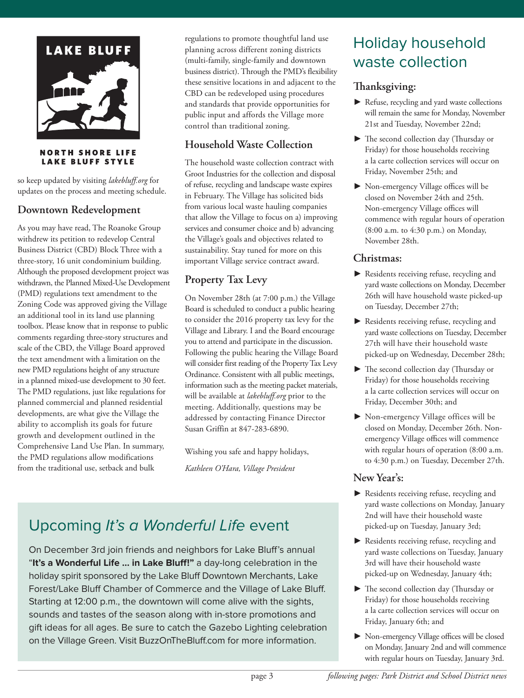

**NORTH SHORE LIFE LAKE BLUFF STYLE** 

so keep updated by visiting *lakebluff.org* for updates on the process and meeting schedule.

## **Downtown Redevelopment**

As you may have read, The Roanoke Group withdrew its petition to redevelop Central Business District (CBD) Block Three with a three-story, 16 unit condominium building. Although the proposed development project was withdrawn, the Planned Mixed-Use Development (PMD) regulations text amendment to the Zoning Code was approved giving the Village an additional tool in its land use planning toolbox. Please know that in response to public comments regarding three-story structures and scale of the CBD, the Village Board approved the text amendment with a limitation on the new PMD regulations height of any structure in a planned mixed-use development to 30 feet. The PMD regulations, just like regulations for planned commercial and planned residential developments, are what give the Village the ability to accomplish its goals for future growth and development outlined in the Comprehensive Land Use Plan. In summary, the PMD regulations allow modifications from the traditional use, setback and bulk

regulations to promote thoughtful land use planning across different zoning districts (multi-family, single-family and downtown business district). Through the PMD's flexibility these sensitive locations in and adjacent to the CBD can be redeveloped using procedures and standards that provide opportunities for public input and affords the Village more control than traditional zoning.

## **Household Waste Collection**

The household waste collection contract with Groot Industries for the collection and disposal of refuse, recycling and landscape waste expires in February. The Village has solicited bids from various local waste hauling companies that allow the Village to focus on a) improving services and consumer choice and b) advancing the Village's goals and objectives related to sustainability. Stay tuned for more on this important Village service contract award.

## **Property Tax Levy**

On November 28th (at 7:00 p.m.) the Village Board is scheduled to conduct a public hearing to consider the 2016 property tax levy for the Village and Library. I and the Board encourage you to attend and participate in the discussion. Following the public hearing the Village Board will consider first reading of the Property Tax Levy Ordinance. Consistent with all public meetings, information such as the meeting packet materials, will be available at *lakebluff.org* prior to the meeting. Additionally, questions may be addressed by contacting Finance Director Susan Griffin at 847-283-6890.

Wishing you safe and happy holidays, *Kathleen O'Hara, Village President*

# Upcoming It's a Wonderful Life event

On December 3rd join friends and neighbors for Lake Bluff's annual "**It's a Wonderful Life … in Lake Bluff!"** a day-long celebration in the holiday spirit sponsored by the Lake Bluff Downtown Merchants, Lake Forest/Lake Bluff Chamber of Commerce and the Village of Lake Bluff. Starting at 12:00 p.m., the downtown will come alive with the sights, sounds and tastes of the season along with in-store promotions and gift ideas for all ages. Be sure to catch the Gazebo Lighting celebration on the Village Green. Visit BuzzOnTheBluff.com for more information.

# Holiday household waste collection

## **anksgiving:**

- $\blacktriangleright$  Refuse, recycling and yard waste collections will remain the same for Monday, November 21st and Tuesday, November 22nd;
- $\blacktriangleright$  The second collection day (Thursday or Friday) for those households receiving a la carte collection services will occur on Friday, November 25th; and
- $\triangleright$  Non-emergency Village offices will be closed on November 24th and 25th. Non-emergency Village offices will commence with regular hours of operation (8:00 a.m. to 4:30 p.m.) on Monday, November 28th.

## **Christmas:**

- $\blacktriangleright$  Residents receiving refuse, recycling and yard waste collections on Monday, December 26th will have household waste picked-up on Tuesday, December 27th;
- $\blacktriangleright$  Residents receiving refuse, recycling and yard waste collections on Tuesday, December 27th will have their household waste picked-up on Wednesday, December 28th;
- $\blacktriangleright$  The second collection day (Thursday or Friday) for those households receiving a la carte collection services will occur on Friday, December 30th; and
- $\blacktriangleright$  Non-emergency Village offices will be closed on Monday, December 26th. Nonemergency Village offices will commence with regular hours of operation (8:00 a.m. to 4:30 p.m.) on Tuesday, December 27th.

## **New Year's:**

- $\blacktriangleright$  Residents receiving refuse, recycling and yard waste collections on Monday, January 2nd will have their household waste picked-up on Tuesday, January 3rd;
- $\blacktriangleright$  Residents receiving refuse, recycling and yard waste collections on Tuesday, January 3rd will have their household waste picked-up on Wednesday, January 4th;
- $\blacktriangleright$  The second collection day (Thursday or Friday) for those households receiving a la carte collection services will occur on Friday, January 6th; and
- $\blacktriangleright$  Non-emergency Village offices will be closed on Monday, January 2nd and will commence with regular hours on Tuesday, January 3rd.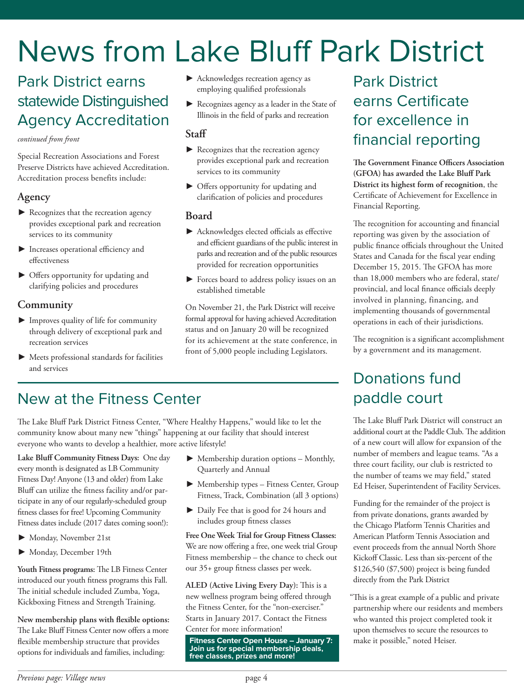# News from Lake Bluff Park District

# Park District earns statewide Distinguished Agency Accreditation

#### *continued from front*

Special Recreation Associations and Forest Preserve Districts have achieved Accreditation. Accreditation process benefits include:

### **Agency**

- $\blacktriangleright$  Recognizes that the recreation agency provides exceptional park and recreation services to its community
- $\blacktriangleright$  Increases operational efficiency and effectiveness
- $\triangleright$  Offers opportunity for updating and clarifying policies and procedures

## **Community**

- $\blacktriangleright$  Improves quality of life for community through delivery of exceptional park and recreation services
- $\blacktriangleright$  Meets professional standards for facilities and services
- $\blacktriangleright$  Acknowledges recreation agency as employing qualified professionals
- $\blacktriangleright$  Recognizes agency as a leader in the State of Illinois in the field of parks and recreation

### **Staff**

- Recognizes that the recreation agency provides exceptional park and recreation services to its community
- $\triangleright$  Offers opportunity for updating and clarification of policies and procedures

### **Board**

- $\blacktriangleright$  Acknowledges elected officials as effective and efficient guardians of the public interest in parks and recreation and of the public resources provided for recreation opportunities
- $\blacktriangleright$  Forces board to address policy issues on an established timetable

On November 21, the Park District will receive formal approval for having achieved Accreditation status and on January 20 will be recognized for its achievement at the state conference, in front of 5,000 people including Legislators.

# Park District earns Certificate for excellence in financial reporting

**e Government Finance Officers Association (GFOA) has awarded the Lake Bluff Park District its highest form of recognition**, the Certificate of Achievement for Excellence in Financial Reporting.

The recognition for accounting and financial reporting was given by the association of public finance officials throughout the United States and Canada for the fiscal year ending December 15, 2015. The GFOA has more than 18,000 members who are federal, state/ provincial, and local finance officials deeply involved in planning, financing, and implementing thousands of governmental operations in each of their jurisdictions.

The recognition is a significant accomplishment by a government and its management.

# Donations fund paddle court

The Lake Bluff Park District will construct an additional court at the Paddle Club. The addition of a new court will allow for expansion of the number of members and league teams. "As a three court facility, our club is restricted to the number of teams we may field," stated Ed Heiser, Superintendent of Facility Services.

Funding for the remainder of the project is from private donations, grants awarded by the Chicago Platform Tennis Charities and American Platform Tennis Association and event proceeds from the annual North Shore Kickoff Classic. Less than six-percent of the \$126,540 (\$7,500) project is being funded directly from the Park District

"This is a great example of a public and private" partnership where our residents and members who wanted this project completed took it upon themselves to secure the resources to make it possible," noted Heiser.

# New at the Fitness Center

The Lake Bluff Park District Fitness Center, "Where Healthy Happens," would like to let the community know about many new "things" happening at our facility that should interest everyone who wants to develop a healthier, more active lifestyle!

**Lake Bluff Community Fitness Days:** One day every month is designated as LB Community Fitness Day! Anyone (13 and older) from Lake Bluff can utilize the fitness facility and/or participate in any of our regularly-scheduled group fitness classes for free! Upcoming Community Fitness dates include (2017 dates coming soon!):

- $\blacktriangleright$  Monday, November 21st
- $\blacktriangleright$  Monday, December 19th

Youth Fitness programs: The LB Fitness Center introduced our youth fitness programs this Fall. The initial schedule included Zumba, Yoga, Kickboxing Fitness and Strength Training.

**New membership plans with flexible options:** The Lake Bluff Fitness Center now offers a more flexible membership structure that provides options for individuals and families, including:

- $\blacktriangleright$  Membership duration options Monthly, Quarterly and Annual
- $\blacktriangleright$  Membership types Fitness Center, Group Fitness, Track, Combination (all 3 options)
- $\blacktriangleright$  Daily Fee that is good for 24 hours and includes group fitness classes

**Free One Week Trial for Group Fitness Classes:** We are now offering a free, one week trial Group Fitness membership – the chance to check out our 35+ group fitness classes per week.

**ALED** (Active Living Every Day): This is a new wellness program being offered through the Fitness Center, for the "non-exerciser." Starts in January 2017. Contact the Fitness Center for more information!

**Fitness Center Open House – January 7: Join us for special membership deals, free classes, prizes and more!**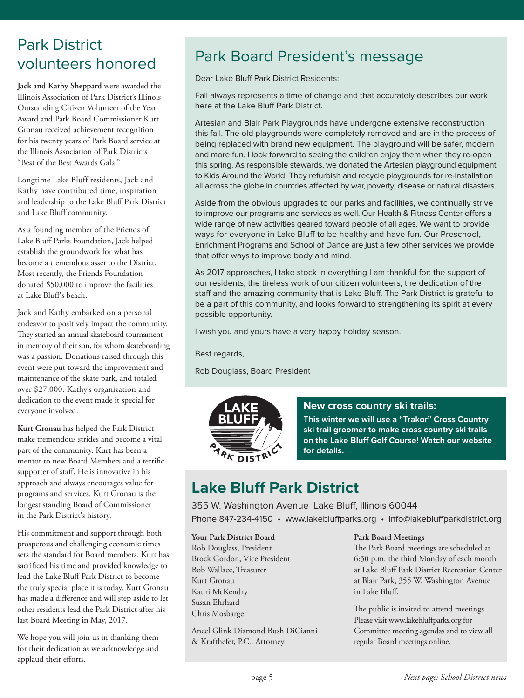# Park District volunteers honored

**Jack and Kathy Sheppard** were awarded the Illinois Association of Park District's Illinois Outstanding Citizen Volunteer of the Year Award and Park Board Commissioner Kurt Gronau received achievement recognition for his twenty years of Park Board service at the Illinois Association of Park Districts "Best of the Best Awards Gala."

Longtime Lake Bluff residents, Jack and Kathy have contributed time, inspiration and leadership to the Lake Bluff Park District and Lake Bluff community.

As a founding member of the Friends of Lake Bluff Parks Foundation, Jack helped establish the groundwork for what has become a tremendous asset to the District. Most recently, the Friends Foundation donated \$50,000 to improve the facilities at Lake Bluff's beach.

Jack and Kathy embarked on a personal endeavor to positively impact the community. They started an annual skateboard tournament in memory of their son, for whom skateboarding was a passion. Donations raised through this event were put toward the improvement and maintenance of the skate park, and totaled over \$27,000. Kathy's organization and dedication to the event made it special for everyone involved.

**Kurt Gronau** has helped the Park District make tremendous strides and become a vital part of the community. Kurt has been a mentor to new Board Members and a terrific supporter of staff. He is innovative in his approach and always encourages value for programs and services. Kurt Gronau is the longest standing Board of Commissioner in the Park District's history.

His commitment and support through both prosperous and challenging economic times sets the standard for Board members. Kurt has sacrificed his time and provided knowledge to lead the Lake Bluff Park District to become the truly special place it is today. Kurt Gronau has made a difference and will step aside to let other residents lead the Park District after his last Board Meeting in May, 2017.

We hope you will join us in thanking them for their dedication as we acknowledge and applaud their efforts.

# Park Board President's message

Dear Lake Bluff Park District Residents:

Fall always represents a time of change and that accurately describes our work here at the Lake Bluff Park District.

Artesian and Blair Park Playgrounds have undergone extensive reconstruction this fall. The old playgrounds were completely removed and are in the process of being replaced with brand new equipment. The playground will be safer, modern and more fun. I look forward to seeing the children enjoy them when they re-open this spring. As responsible stewards, we donated the Artesian playground equipment to Kids Around the World. They refurbish and recycle playgrounds for re-installation all across the globe in countries affected by war, poverty, disease or natural disasters.

Aside from the obvious upgrades to our parks and facilities, we continually strive to improve our programs and services as well. Our Health & Fitness Center offers a wide range of new activities geared toward people of all ages. We want to provide ways for everyone in Lake Bluff to be healthy and have fun. Our Preschool, Enrichment Programs and School of Dance are just a few other services we provide that offer ways to improve body and mind.

As 2017 approaches, I take stock in everything I am thankful for: the support of our residents, the tireless work of our citizen volunteers, the dedication of the staff and the amazing community that is Lake Bluff. The Park District is grateful to be a part of this community, and looks forward to strengthening its spirit at every possible opportunity.

I wish you and yours have a very happy holiday season.

Best regards,

Rob Douglass, Board President



### **New cross country ski trails:**

**This winter we will use <sup>a</sup> "Trakor" Cross Country ski trail groomer to make cross country ski trails on the Lake Bluff Golf Course! Watch our website for details.**

# **Lake Bluff Park District**

355 W. Washington Avenue Lake Bluff, Illinois 60044 Phone 847-234-4150 • www.lakebluffparks.org • info@lakebluffparkdistrict.org

**Your Park District Board**

Rob Douglass, President Brock Gordon, Vice President Bob Wallace, Treasurer Kurt Gronau Kauri McKendry Susan Ehrhard Chris Mosbarger

Ancel Glink Diamond Bush DiCianni & Krafthefer, P.C., Attorney

#### **Park Board Meetings**

The Park Board meetings are scheduled at 6:30 p.m. the third Monday of each month at Lake Bluff Park District Recreation Center at Blair Park, 355 W. Washington Avenue in Lake Bluff.

The public is invited to attend meetings. Please visit www.lakebluffparks.org for Committee meeting agendas and to view all regular Board meetings online.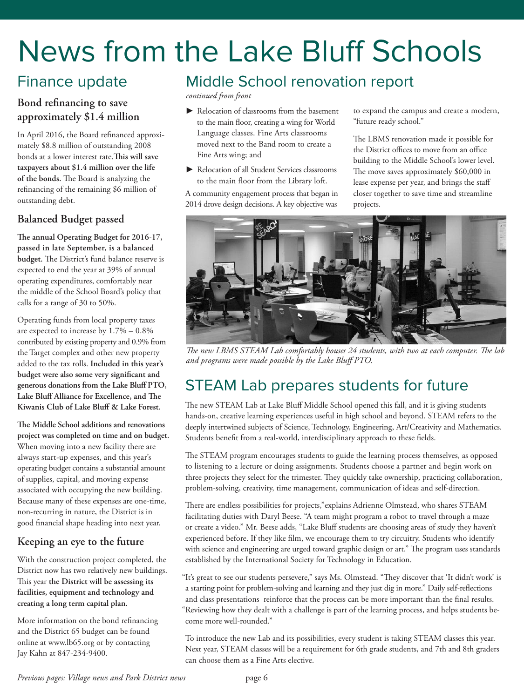# News from the Lake Bluff Schools

# Finance update

## **Bond refinancing to save approximately \$1.4 million**

In April 2016, the Board refinanced approximately \$8.8 million of outstanding 2008 bonds at a lower interest rate.**is will save taxpayers about \$1.4 million over the life of** the bonds. The Board is analyzing the refinancing of the remaining \$6 million of outstanding debt.

## **Balanced Budget passed**

**e annual Operating Budget for 2016-17, passed in late September, is a balanced** budget. The District's fund balance reserve is expected to end the year at 39% of annual operating expenditures, comfortably near the middle of the School Board's policy that calls for a range of 30 to 50%.

Operating funds from local property taxes are expected to increase by 1.7% – 0.8% contributed by existing property and 0.9% from the Target complex and other new property added to the tax rolls. **Included in this year's budget were also some very significant and generous donations from the Lake Bluff PTO, Lake Bluff Alliance for Excellence, and e Kiwanis Club of Lake Bluff & Lake Forest.**

**e Middle School additions and renovations project was completed on time and on budget.** When moving into a new facility there are always start-up expenses, and this year's operating budget contains a substantial amount of supplies, capital, and moving expense associated with occupying the new building. Because many of these expenses are one-time, non-recurring in nature, the District is in good financial shape heading into next year.

## **Keeping an eye to the future**

With the construction project completed, the District now has two relatively new buildings. This year the District will be assessing its **facilities, equipment and technology and creating a long term capital plan.**

More information on the bond refinancing and the District 65 budget can be found online at www.lb65.org or by contacting Jay Kahn at 847-234-9400.

# Middle School renovation report

*continued from front*

- $\blacktriangleright$  Relocation of classrooms from the basement to the main floor, creating a wing for World Language classes. Fine Arts classrooms moved next to the Band room to create a Fine Arts wing; and
- $\blacktriangleright$  Relocation of all Student Services classrooms to the main floor from the Library loft.

A community engagement process that began in 2014 drove design decisions. A key objective was

to expand the campus and create a modern, "future ready school."

The LBMS renovation made it possible for the District offices to move from an office building to the Middle School's lower level. The move saves approximately  $$60,000$  in lease expense per year, and brings the staff closer together to save time and streamline projects.



*e new LBMS STEAM Lab comfortably houses 24 students, with two at each computer. e lab and programs were made possible by the Lake Bluff PTO.*

# STEAM Lab prepares students for future

The new STEAM Lab at Lake Bluff Middle School opened this fall, and it is giving students hands-on, creative learning experiences useful in high school and beyond. STEAM refers to the deeply intertwined subjects of Science, Technology, Engineering, Art/Creativity and Mathematics. Students benefit from a real-world, interdisciplinary approach to these fields.

The STEAM program encourages students to guide the learning process themselves, as opposed to listening to a lecture or doing assignments. Students choose a partner and begin work on three projects they select for the trimester. They quickly take ownership, practicing collaboration, problem-solving, creativity, time management, communication of ideas and self-direction.

There are endless possibilities for projects," explains Adrienne Olmstead, who shares STEAM facilitating duties with Daryl Beese. "A team might program a robot to travel through a maze or create a video." Mr. Beese adds, "Lake Bluff students are choosing areas of study they haven't experienced before. If they like film, we encourage them to try circuitry. Students who identify with science and engineering are urged toward graphic design or art." The program uses standards established by the International Society for Technology in Education.

"It's great to see our students persevere," says Ms. Olmstead. "They discover that 'It didn't work' is a starting point for problem-solving and learning and they just dig in more." Daily self-reflections and class presentations reinforce that the process can be more important than the final results. "Reviewing how they dealt with a challenge is part of the learning process, and helps students become more well-rounded."

To introduce the new Lab and its possibilities, every student is taking STEAM classes this year. Next year, STEAM classes will be a requirement for 6th grade students, and 7th and 8th graders can choose them as a Fine Arts elective.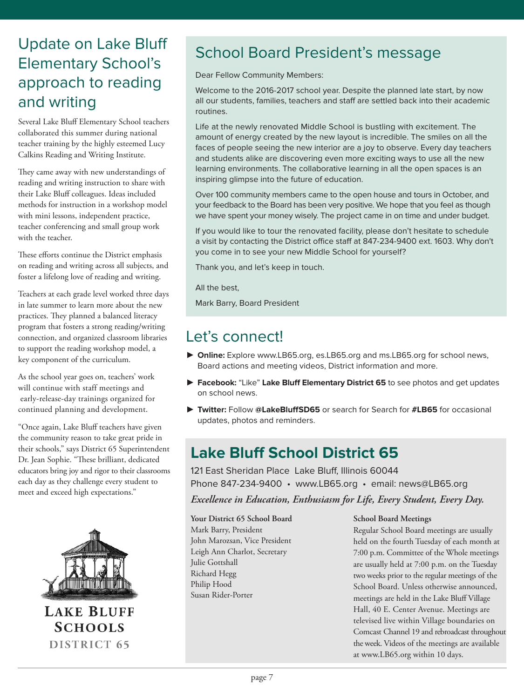# Update on Lake Bluff Elementary School's approach to reading and writing

Several Lake Bluff Elementary School teachers collaborated this summer during national teacher training by the highly esteemed Lucy Calkins Reading and Writing Institute.

They came away with new understandings of reading and writing instruction to share with their Lake Bluff colleagues. Ideas included methods for instruction in a workshop model with mini lessons, independent practice, teacher conferencing and small group work with the teacher.

These efforts continue the District emphasis on reading and writing across all subjects, and foster a lifelong love of reading and writing.

Teachers at each grade level worked three days in late summer to learn more about the new practices. They planned a balanced literacy program that fosters a strong reading/writing connection, and organized classroom libraries to support the reading workshop model, a key component of the curriculum.

As the school year goes on, teachers' work will continue with staff meetings and early-release-day trainings organized for continued planning and development.

"Once again, Lake Bluff teachers have given the community reason to take great pride in their schools," says District 65 Superintendent Dr. Jean Sophie. "These brilliant, dedicated educators bring joy and rigor to their classrooms each day as they challenge every student to meet and exceed high expectations."



**LAKE BLUFF SCHOOLS** DISTRICT 65

# School Board President's message

Dear Fellow Community Members:

Welcome to the 2016-2017 school year. Despite the planned late start, by now all our students, families, teachers and staff are settled back into their academic routines.

Life at the newly renovated Middle School is bustling with excitement. The amount of energy created by the new layout is incredible. The smiles on all the faces of people seeing the new interior are a joy to observe. Every day teachers and students alike are discovering even more exciting ways to use all the new learning environments. The collaborative learning in all the open spaces is an inspiring glimpse into the future of education.

Over 100 community members came to the open house and tours in October, and your feedback to the Board has been very positive. We hope that you feel as though we have spent your money wisely. The project came in on time and under budget.

If you would like to tour the renovated facility, please don't hesitate to schedule a visit by contacting the District office staff at 847-234-9400 ext. 1603. Why don't you come in to see your new Middle School for yourself?

Thank you, and let's keep in touch.

All the best,

Mark Barry, Board President

## Let's connect!

- ▶ Online: Explore www.LB65.org, es.LB65.org and ms.LB65.org for school news, Board actions and meeting videos, District information and more.
- \$ **Facebook:** "Like" **Lake Bluff Elementary District 65** to see photos and get updates on school news.
- ▶ Twitter: Follow @LakeBluffSD65 or search for Search for #LB65 for occasional updates, photos and reminders.

## **Lake Bluff School District 65**

121 East Sheridan Place Lake Bluff, Illinois 60044 Phone 847-234-9400 • www.LB65.org • email: news@LB65.org

*Excellence in Education, Enthusiasm for Life, Every Student, Every Day.*

**Your District 65 School Board** Mark Barry, President John Marozsan, Vice President Leigh Ann Charlot, Secretary Julie Gottshall Richard Hegg Philip Hood Susan Rider-Porter

#### **School Board Meetings**

Regular School Board meetings are usually held on the fourth Tuesday of each month at 7:00 p.m. Committee of the Whole meetings are usually held at 7:00 p.m. on the Tuesday two weeks prior to the regular meetings of the School Board. Unless otherwise announced, meetings are held in the Lake Bluff Village Hall, 40 E. Center Avenue. Meetings are televised live within Village boundaries on Comcast Channel 19 and rebroadcast throughout the week. Videos of the meetings are available at www.LB65.org within 10 days.